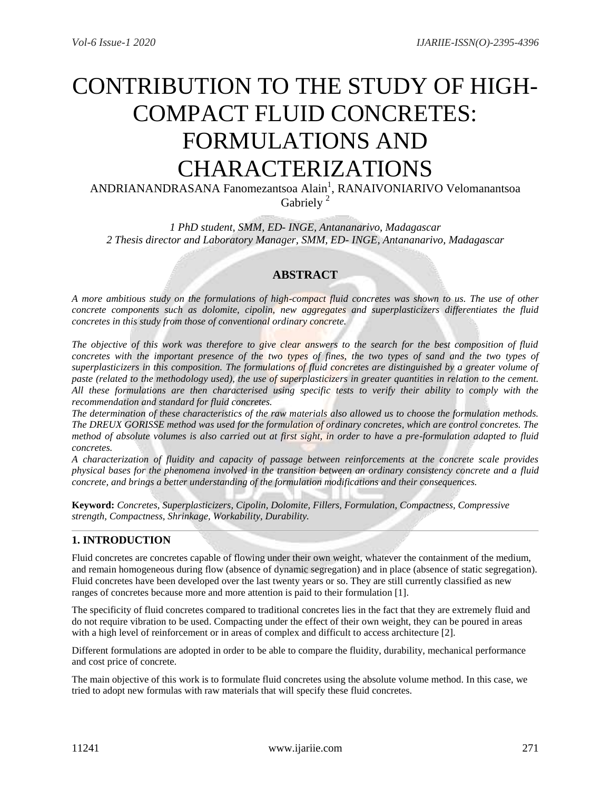# CONTRIBUTION TO THE STUDY OF HIGH-COMPACT FLUID CONCRETES: FORMULATIONS AND CHARACTERIZATIONS

ANDRIANANDRASANA Fanomezantsoa Alain<sup>1</sup>, RANAIVONIARIVO Velomanantsoa Gabriely<sup>2</sup>

*1 PhD student, SMM, ED- INGE, Antananarivo, Madagascar 2 Thesis director and Laboratory Manager, SMM, ED- INGE, Antananarivo, Madagascar*

# **ABSTRACT**

*A more ambitious study on the formulations of high-compact fluid concretes was shown to us. The use of other concrete components such as dolomite, cipolin, new aggregates and superplasticizers differentiates the fluid concretes in this study from those of conventional ordinary concrete.*

*The objective of this work was therefore to give clear answers to the search for the best composition of fluid concretes with the important presence of the two types of fines, the two types of sand and the two types of superplasticizers in this composition. The formulations of fluid concretes are distinguished by a greater volume of paste (related to the methodology used), the use of superplasticizers in greater quantities in relation to the cement. All these formulations are then characterised using specific tests to verify their ability to comply with the recommendation and standard for fluid concretes.*

*The determination of these characteristics of the raw materials also allowed us to choose the formulation methods. The DREUX GORISSE method was used for the formulation of ordinary concretes, which are control concretes. The method of absolute volumes is also carried out at first sight, in order to have a pre-formulation adapted to fluid concretes.*

*A characterization of fluidity and capacity of passage between reinforcements at the concrete scale provides physical bases for the phenomena involved in the transition between an ordinary consistency concrete and a fluid concrete, and brings a better understanding of the formulation modifications and their consequences.*

**Keyword:** *Concretes, Superplasticizers, Cipolin, Dolomite, Fillers, Formulation, Compactness, Compressive strength, Compactness, Shrinkage, Workability, Durability.* 

# **1. INTRODUCTION**

Fluid concretes are concretes capable of flowing under their own weight, whatever the containment of the medium, and remain homogeneous during flow (absence of dynamic segregation) and in place (absence of static segregation). Fluid concretes have been developed over the last twenty years or so. They are still currently classified as new ranges of concretes because more and more attention is paid to their formulation [1].

The specificity of fluid concretes compared to traditional concretes lies in the fact that they are extremely fluid and do not require vibration to be used. Compacting under the effect of their own weight, they can be poured in areas with a high level of reinforcement or in areas of complex and difficult to access architecture [2].

Different formulations are adopted in order to be able to compare the fluidity, durability, mechanical performance and cost price of concrete.

The main objective of this work is to formulate fluid concretes using the absolute volume method. In this case, we tried to adopt new formulas with raw materials that will specify these fluid concretes.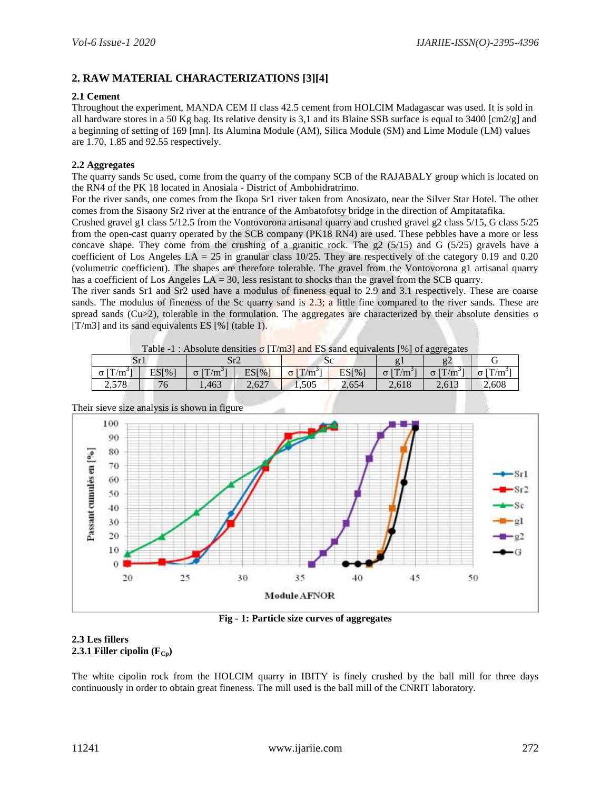# **2. RAW MATERIAL CHARACTERIZATIONS [3][4]**

# **2.1 Cement**

Throughout the experiment, MANDA CEM II class 42.5 cement from HOLCIM Madagascar was used. It is sold in all hardware stores in a 50 Kg bag. Its relative density is 3,1 and its Blaine SSB surface is equal to 3400  $\text{[cm2/g]}$  and a beginning of setting of 169 [mn]. Its Alumina Module (AM), Silica Module (SM) and Lime Module (LM) values are 1.70, 1.85 and 92.55 respectively.

# **2.2 Aggregates**

The quarry sands Sc used, come from the quarry of the company SCB of the RAJABALY group which is located on the RN4 of the PK 18 located in Anosiala - District of Ambohidratrimo.

For the river sands, one comes from the Ikopa Sr1 river taken from Anosizato, near the Silver Star Hotel. The other comes from the Sisaony Sr2 river at the entrance of the Ambatofotsy bridge in the direction of Ampitatafika.

Crushed gravel g1 class 5/12.5 from the Vontovorona artisanal quarry and crushed gravel g2 class 5/15, G class 5/25 from the open-cast quarry operated by the SCB company (PK18 RN4) are used. These pebbles have a more or less concave shape. They come from the crushing of a granitic rock. The  $g2(5/15)$  and G ( $5/25$ ) gravels have a coefficient of Los Angeles  $LA = 25$  in granular class 10/25. They are respectively of the category 0.19 and 0.20 (volumetric coefficient). The shapes are therefore tolerable. The gravel from the Vontovorona g1 artisanal quarry has a coefficient of Los Angeles  $LA = 30$ , less resistant to shocks than the gravel from the SCB quarry.

The river sands Sr1 and Sr2 used have a modulus of fineness equal to 2.9 and 3.1 respectively. These are coarse sands. The modulus of fineness of the Sc quarry sand is 2.3; a little fine compared to the river sands. These are spread sands (Cu>2), tolerable in the formulation. The aggregates are characterized by their absolute densities σ [T/m3] and its sand equivalents ES [%] (table 1).

|                             | <b>Table -1:</b> Absolute densities $\sigma$ [T/m3] and ES sand equivalents [%] of aggregates |                       |       |                       |       |                       |                                        |           |  |  |  |
|-----------------------------|-----------------------------------------------------------------------------------------------|-----------------------|-------|-----------------------|-------|-----------------------|----------------------------------------|-----------|--|--|--|
| Sr1                         |                                                                                               | Sr2                   |       | $\mathcal{S}^c$       |       |                       |                                        |           |  |  |  |
| $\sigma$ [T/m <sup>3γ</sup> | ES[%]                                                                                         | $\sigma$ $\Gamma/m^3$ | ES[%] | $[T/m^3]$<br>$\sigma$ | ES[%] | $\sigma$ $\Gamma/m^3$ | $\sigma$ $\left[\text{T/m}^{3}\right]$ | $[T/m^3]$ |  |  |  |
| 2,578                       | 76                                                                                            | 1.463                 | 2.627 | 1.505                 | 2.654 | 2.618                 | 2.613                                  | 2.608     |  |  |  |

Table -1 : Absolute densities  $\sigma$  [T/m3] and ES sand equivalents [%] of aggregates



**Fig - 1: Particle size curves of aggregates**

## **2.3 Les fillers 2.3.1 Filler cipolin**  $(F_{Cp})$

The white cipolin rock from the HOLCIM quarry in IBITY is finely crushed by the ball mill for three days continuously in order to obtain great fineness. The mill used is the ball mill of the CNRIT laboratory.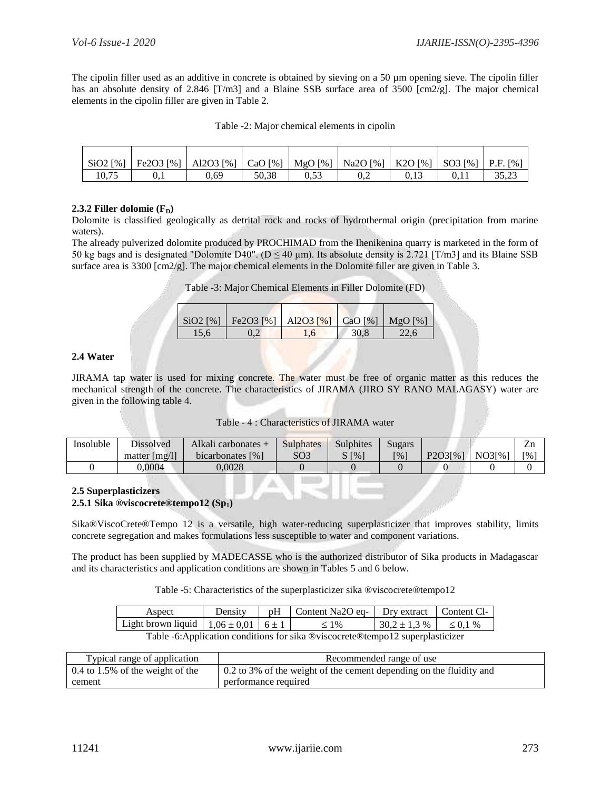The cipolin filler used as an additive in concrete is obtained by sieving on a 50 µm opening sieve. The cipolin filler has an absolute density of 2.846 [T/m3] and a Blaine SSB surface area of 3500 [cm2/g]. The major chemical elements in the cipolin filler are given in Table 2.

| Table -2: Major chemical elements in cipolin |  |
|----------------------------------------------|--|
|----------------------------------------------|--|

| $SiO2$ [%] | Fe2O3 [%]   Al2O3 [%]   CaO [%]   MgO [%] |      |       |      | Na2O [%]   K2O [%]   SO3 [%]   P.F. [%] |  |       |
|------------|-------------------------------------------|------|-------|------|-----------------------------------------|--|-------|
| 10,75      |                                           | 0.69 | 50.38 | 0.53 | U.Z                                     |  | 35.23 |

## **2.3.2 Filler dolomie**  $(F<sub>D</sub>)$

Dolomite is classified geologically as detrital rock and rocks of hydrothermal origin (precipitation from marine waters).

The already pulverized dolomite produced by PROCHIMAD from the Ihenikenina quarry is marketed in the form of 50 kg bags and is designated "Dolomite D40". ( $D \le 40 \mu m$ ). Its absolute density is 2.721 [T/m3] and its Blaine SSB surface area is 3300  $\text{[cm2/g]}$ . The major chemical elements in the Dolomite filler are given in Table 3.

Table -3: Major Chemical Elements in Filler Dolomite (FD)

| $SiO2$ [%] | Fe2O3 [%]   Al2O3 [%]   CaO [%]   MgO [%] |      |  |
|------------|-------------------------------------------|------|--|
|            |                                           | 30,8 |  |

# **2.4 Water**

JIRAMA tap water is used for mixing concrete. The water must be free of organic matter as this reduces the mechanical strength of the concrete. The characteristics of JIRAMA (JIRO SY RANO MALAGASY) water are given in the following table 4.

| Table - 4 : Characteristics of JIRAMA water |  |  |  |  |  |
|---------------------------------------------|--|--|--|--|--|
|---------------------------------------------|--|--|--|--|--|

| Insoluble | <b>Dissolved</b> | Alkali carbonates + | <b>Sulphates</b> | <b>Sulphites</b>       | Sugars             |         |                       | ZI.                         |
|-----------|------------------|---------------------|------------------|------------------------|--------------------|---------|-----------------------|-----------------------------|
|           | matter $[mg/l]$  | bicarbonates $[%]$  | SO <sub>3</sub>  | $\lceil\% \rceil$<br>ى | $\lceil \% \rceil$ | P2O3[%] | $NO3\left[\% \right]$ | $\lceil \frac{9}{6} \rceil$ |
|           | 0.0004           | 0.0028              |                  |                        |                    |         |                       |                             |

#### **2.5 Superplasticizers 2.5.1 Sika ®viscocrete®tempo12 (Sp1)**

Sika®ViscoCrete®Tempo 12 is a versatile, high water-reducing superplasticizer that improves stability, limits concrete segregation and makes formulations less susceptible to water and component variations.

The product has been supplied by MADECASSE who is the authorized distributor of Sika products in Madagascar and its characteristics and application conditions are shown in Tables 5 and 6 below.

Table -5: Characteristics of the superplasticizer sika ®viscocrete®tempo12

| Aspect                                                                         | Density |  | pH   Content Na2O eq-   Dry extract   Content Cl- |                  |               |  |  |  |
|--------------------------------------------------------------------------------|---------|--|---------------------------------------------------|------------------|---------------|--|--|--|
| Light brown liquid   $1,06 \pm 0,01$   $6 \pm 1$                               |         |  | $\leq 1\%$                                        | $30.2 \pm 1.3$ % | $\leq 0.1 \%$ |  |  |  |
| Table -6: Application conditions for sika @viscocrete@tempo12 superplasticizer |         |  |                                                   |                  |               |  |  |  |

| Typical range of application       | Recommended range of use                                            |
|------------------------------------|---------------------------------------------------------------------|
| $0.4$ to 1.5% of the weight of the | 0.2 to 3% of the weight of the cement depending on the fluidity and |
| cement                             | performance required                                                |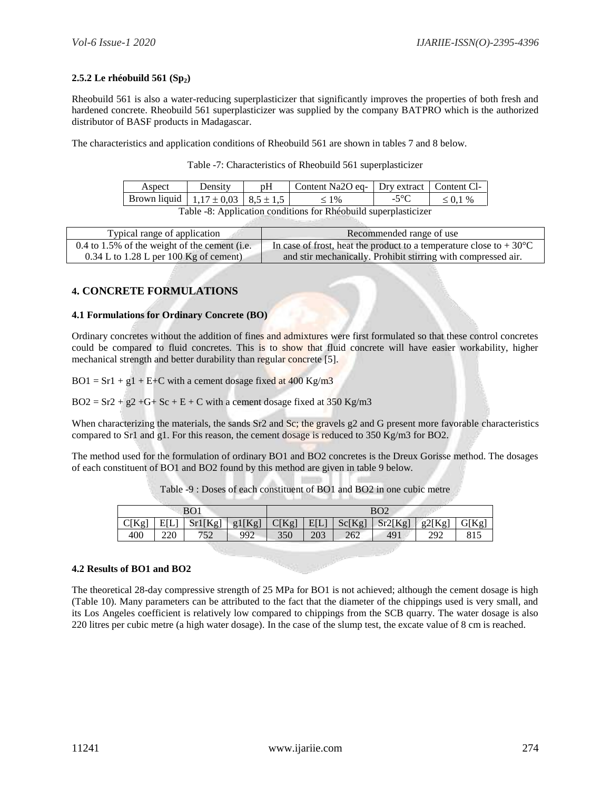# **2.5.2 Le rhéobuild 561 (Sp2)**

Rheobuild 561 is also a water-reducing superplasticizer that significantly improves the properties of both fresh and hardened concrete. Rheobuild 561 superplasticizer was supplied by the company BATPRO which is the authorized distributor of BASF products in Madagascar.

The characteristics and application conditions of Rheobuild 561 are shown in tables 7 and 8 below.

Table -7: Characteristics of Rheobuild 561 superplasticizer

| Aspect                                                          | Density | pH | Content Na2O eq-   Dry extract   Content Cl- |  |               |  |  |  |
|-----------------------------------------------------------------|---------|----|----------------------------------------------|--|---------------|--|--|--|
| Brown liquid   $1,17 \pm 0.03$   $8,5 \pm 1.5$                  |         |    | $< 1\%$                                      |  | $\leq 0.1 \%$ |  |  |  |
| Table -8: Application conditions for Rhéobuild superplasticizer |         |    |                                              |  |               |  |  |  |

| Typical range of application                    | Recommended range of use                                                     |
|-------------------------------------------------|------------------------------------------------------------------------------|
| $0.4$ to 1.5% of the weight of the cement (i.e. | In case of frost, heat the product to a temperature close to $+30^{\circ}$ C |
| $0.34$ L to 1.28 L per 100 Kg of cement)        | and stir mechanically. Prohibit stirring with compressed air.                |

# **4. CONCRETE FORMULATIONS**

## **4.1 Formulations for Ordinary Concrete (BO)**

Ordinary concretes without the addition of fines and admixtures were first formulated so that these control concretes could be compared to fluid concretes. This is to show that fluid concrete will have easier workability, higher mechanical strength and better durability than regular concrete [5].

 $BO1 = Sr1 + g1 + E+C$  with a cement dosage fixed at 400 Kg/m3

 $BO2 = Sr2 + g2 + G + Sc + E + C$  with a cement dosage fixed at 350 Kg/m3

When characterizing the materials, the sands Sr2 and Sc; the gravels g2 and G present more favorable characteristics compared to Sr1 and g1. For this reason, the cement dosage is reduced to 350 Kg/m3 for BO2.

The method used for the formulation of ordinary BO1 and BO2 concretes is the Dreux Gorisse method. The dosages of each constituent of BO1 and BO2 found by this method are given in table 9 below.

| BO <sub>1</sub> |      |         |        |                                              |     |     | BO2 |       |  |
|-----------------|------|---------|--------|----------------------------------------------|-----|-----|-----|-------|--|
| C[Kg]           | EILI | Sr1[Kg] | g1[Kg] | Sr2[Kg]<br>g2[Kg]<br>E[L]<br>Sc[Kg]<br>C[Kg] |     |     |     | G[Kg] |  |
| 400             | 220  | 752     | 992    | 350                                          | 203 | 262 | 49  | 292   |  |

Table -9 : Doses of each constituent of BO1 and BO2 in one cubic metre

#### **4.2 Results of BO1 and BO2**

The theoretical 28-day compressive strength of 25 MPa for BO1 is not achieved; although the cement dosage is high (Table 10). Many parameters can be attributed to the fact that the diameter of the chippings used is very small, and its Los Angeles coefficient is relatively low compared to chippings from the SCB quarry. The water dosage is also 220 litres per cubic metre (a high water dosage). In the case of the slump test, the excate value of 8 cm is reached.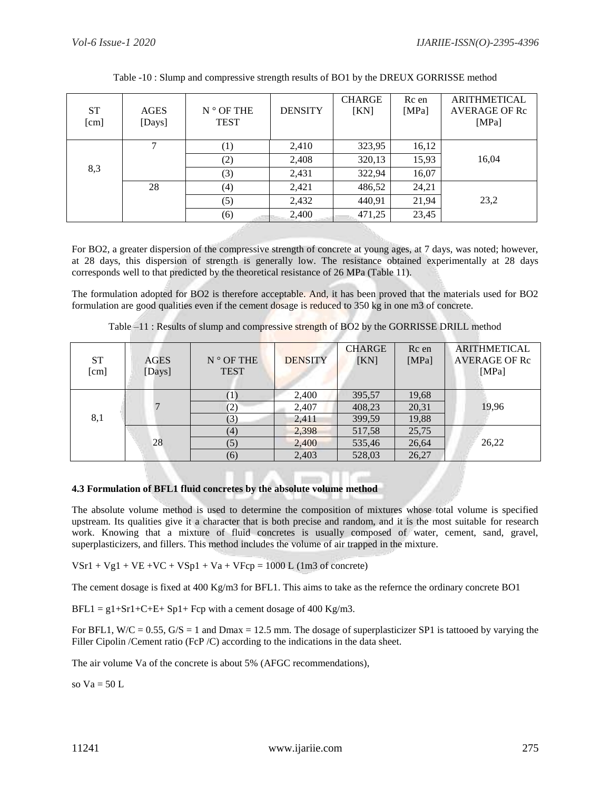| <b>ST</b><br>[cm] | <b>AGES</b><br>[Days] | $N^{\circ}$ OF THE<br><b>TEST</b> | <b>DENSITY</b> | <b>CHARGE</b><br>[KN] | Rc en<br>[MPa] | <b>ARITHMETICAL</b><br><b>AVERAGE OF Rc</b><br>[MPa] |
|-------------------|-----------------------|-----------------------------------|----------------|-----------------------|----------------|------------------------------------------------------|
|                   |                       | $\scriptstyle{(1)}$               | 2,410          | 323,95                | 16,12          |                                                      |
|                   |                       | (2)                               | 2,408          | 320,13                | 15,93          | 16,04                                                |
| 8,3               |                       | (3)                               | 2,431          | 322,94                | 16,07          |                                                      |
|                   | 28                    | (4)                               | 2,421          | 486,52                | 24,21          |                                                      |
|                   |                       | (5)                               | 2,432          | 440,91                | 21,94          | 23,2                                                 |
|                   |                       | (6)                               | 2,400          | 471,25                | 23,45          |                                                      |

Table -10 : Slump and compressive strength results of BO1 by the DREUX GORRISSE method

For BO2, a greater dispersion of the compressive strength of concrete at young ages, at 7 days, was noted; however, at 28 days, this dispersion of strength is generally low. The resistance obtained experimentally at 28 days corresponds well to that predicted by the theoretical resistance of 26 MPa (Table 11).

The formulation adopted for BO2 is therefore acceptable. And, it has been proved that the materials used for BO2 formulation are good qualities even if the cement dosage is reduced to 350 kg in one m3 of concrete.

Table –11 : Results of slump and compressive strength of BO2 by the GORRISSE DRILL method

| <b>ST</b><br>[cm] | <b>AGES</b><br>[Days] | $N^{\circ}$ OF THE<br><b>TEST</b> | <b>DENSITY</b> | <b>CHARGE</b><br>[KN] | Rc en<br>[MPa] | <b>ARITHMETICAL</b><br><b>AVERAGE OF Rc</b><br>[MPa] |
|-------------------|-----------------------|-----------------------------------|----------------|-----------------------|----------------|------------------------------------------------------|
|                   |                       |                                   | 2,400          | 395,57                | 19,68          |                                                      |
|                   |                       | (2)                               | 2,407          | 408,23                | 20,31          | 19,96                                                |
| 8,1               |                       | (3)                               | 2,411          | 399,59                | 19,88          |                                                      |
|                   |                       | (4)                               | 2,398          | 517,58                | 25,75          |                                                      |
|                   | 28                    | (5)                               | 2,400          | 535,46                | 26,64          | 26,22                                                |
|                   |                       | (6)                               | 2,403          | 528,03                | 26,27          |                                                      |

# **4.3 Formulation of BFL1 fluid concretes by the absolute volume method**

The absolute volume method is used to determine the composition of mixtures whose total volume is specified upstream. Its qualities give it a character that is both precise and random, and it is the most suitable for research work. Knowing that a mixture of fluid concretes is usually composed of water, cement, sand, gravel, superplasticizers, and fillers. This method includes the volume of air trapped in the mixture.

$$
VSr1 + Vg1 + VE + VC + VSp1 + Va + VFcp = 1000 L (1m3 of concrete)
$$

The cement dosage is fixed at 400 Kg/m3 for BFL1. This aims to take as the refernce the ordinary concrete BO1

 $BFL1 = g1 + Sr1 + C + E + Sp1 + Fcp$  with a cement dosage of 400 Kg/m3.

For BFL1, W/C =  $0.55$ , G/S = 1 and Dmax = 12.5 mm. The dosage of superplasticizer SP1 is tattooed by varying the Filler Cipolin / Cement ratio (FcP / C) according to the indications in the data sheet.

The air volume Va of the concrete is about 5% (AFGC recommendations),

so  $Va = 50 L$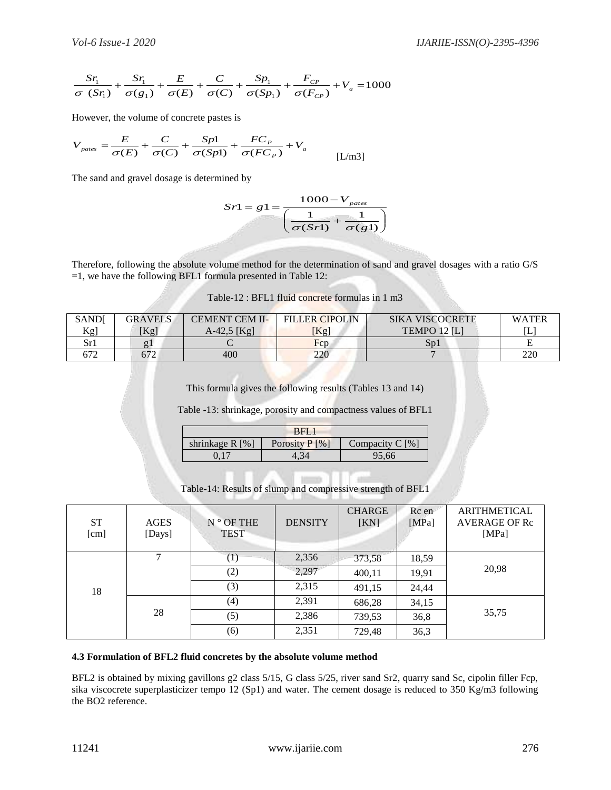$$
\frac{Sr_1}{\sigma (Sr_1)} + \frac{Sr_1}{\sigma (g_1)} + \frac{E}{\sigma (E)} + \frac{C}{\sigma (C)} + \frac{Sp_1}{\sigma (Sp_1)} + \frac{F_{CP}}{\sigma (F_{CP})} + V_a = 1000
$$

$$
V_{\text{pates}} = \frac{E}{\sigma(E)} + \frac{C}{\sigma(C)} + \frac{Spl}{\sigma(Sp1)} + \frac{FC_P}{\sigma(FC_P)} + V_a
$$
 [L/m3]

$$
Sr1 = g1 = \frac{1000 - V_{\text{pates}}}{\left(\frac{1}{\sigma(Sr1)} + \frac{1}{\sigma(g1)}\right)}
$$

| Table-12 : BFL1 fluid concrete formulas in 1 m3 |  |  |  |
|-------------------------------------------------|--|--|--|
|                                                 |  |  |  |

| <b>SAND</b> | <b>GRAVELS</b> | <b>CEMENT CEM II-</b> | <b>FILLER CIPOLIN</b> | <b>SIKA VISCOCRETE</b> | <b>WATER</b> |
|-------------|----------------|-----------------------|-----------------------|------------------------|--------------|
| Kg]         | [Kg]           | A-42,5 [Kg]           | [Kg]                  | TEMPO 12 [L]           | [L           |
| Sr1         | g.             |                       | Fcp                   | $S_{D}1$               | ∸            |
|             | 672            | 400                   | 220                   |                        | 220          |

|                    | RFL.             |                   |
|--------------------|------------------|-------------------|
| shrinkage $R [\%]$ | Porosity $P[\%]$ | Compacity $C$ [%] |
|                    |                  | 95.66             |

|                    |                                           | $\frac{St_1}{\sigma(St_1)} + \frac{St_1}{\sigma(g_1)} + \frac{E}{\sigma(E)} + \frac{C}{\sigma(C)} + \frac{Sp_1}{\sigma(Sp_1)} + \frac{r_{CP}}{\sigma(F_{CP})} + V_a = 1000$                                                                                                                                      |                                                                                                      |                          |                                        |                                                      |
|--------------------|-------------------------------------------|------------------------------------------------------------------------------------------------------------------------------------------------------------------------------------------------------------------------------------------------------------------------------------------------------------------|------------------------------------------------------------------------------------------------------|--------------------------|----------------------------------------|------------------------------------------------------|
|                    | However, the volume of concrete pastes is |                                                                                                                                                                                                                                                                                                                  |                                                                                                      |                          |                                        |                                                      |
|                    |                                           | $V_{\text{pates}} = \frac{E}{\sigma(E)} + \frac{C}{\sigma(C)} + \frac{Spl}{\sigma(Sp1)} + \frac{FC_P}{\sigma(FC_P)} + V_a$                                                                                                                                                                                       |                                                                                                      | [L/m3]                   |                                        |                                                      |
|                    |                                           | The sand and gravel dosage is determined by                                                                                                                                                                                                                                                                      |                                                                                                      |                          |                                        |                                                      |
|                    |                                           | Therefore, following the absolute volume method for the determination of sand and gravel dosages with a ratio G/S                                                                                                                                                                                                | $Sr1 = g1 = \frac{1000 - V_{pairs}}{\left(\frac{1}{\sigma(Sr1)} + \frac{1}{\sigma(\sigma1)}\right)}$ |                          |                                        |                                                      |
|                    |                                           | $=1$ , we have the following BFL1 formula presented in Table 12:                                                                                                                                                                                                                                                 |                                                                                                      |                          |                                        |                                                      |
|                    |                                           | Table-12 : BFL1 fluid concrete formulas in 1 m3                                                                                                                                                                                                                                                                  |                                                                                                      |                          |                                        |                                                      |
| SAND[<br>Kg]       | <b>GRAVELS</b><br>[Kg]                    | <b>CEMENT CEM II-</b><br>$A-42,5$ [Kg]                                                                                                                                                                                                                                                                           | <b>FILLER CIPOLIN</b><br>[Kg]                                                                        |                          | <b>SIKA VISCOCRETE</b><br>TEMPO 12 [L] | <b>WATEI</b><br><u>[L]</u>                           |
| Sr1<br>672         | g1<br>672                                 | $\mathsf{C}$<br>400                                                                                                                                                                                                                                                                                              | Fcp<br>220                                                                                           |                          | Sp1                                    | ${\bf E}$<br>220                                     |
|                    |                                           | shrinkage R [%]<br>0,17<br>Table-14: Results of slump and compressive strength of BFL1                                                                                                                                                                                                                           | BFL1<br>Porosity P [%]<br>4.34                                                                       | Compacity C [%]<br>95,66 |                                        |                                                      |
| <b>ST</b><br>[cm]  | <b>AGES</b><br>[Days]                     | $N^{\circ}$ OF THE<br><b>TEST</b>                                                                                                                                                                                                                                                                                | <b>DENSITY</b>                                                                                       | <b>CHARGE</b><br>[KN]    | Rc en<br>[MPa]                         | <b>ARITHMETICAL</b><br><b>AVERAGE OF Rc</b><br>[MPa] |
|                    | 7                                         | (1)                                                                                                                                                                                                                                                                                                              | 2,356                                                                                                | 373,58                   | 18,59                                  |                                                      |
|                    |                                           | (2)                                                                                                                                                                                                                                                                                                              | 2,297                                                                                                | 400,11                   | 19,91                                  | 20,98                                                |
| 18                 |                                           | (3)                                                                                                                                                                                                                                                                                                              | 2,315                                                                                                | 491,15                   | 24,44                                  |                                                      |
|                    | 28                                        | (4)                                                                                                                                                                                                                                                                                                              | 2,391                                                                                                | 686,28                   | 34,15                                  | 35,75                                                |
|                    |                                           | (5)                                                                                                                                                                                                                                                                                                              | 2,386                                                                                                | 739,53                   | 36,8                                   |                                                      |
|                    |                                           | (6)                                                                                                                                                                                                                                                                                                              | 2,351                                                                                                | 729,48                   | 36,3                                   |                                                      |
| the BO2 reference. |                                           | 4.3 Formulation of BFL2 fluid concretes by the absolute volume method<br>BFL2 is obtained by mixing gavillons g2 class 5/15, G class 5/25, river sand Sr2, quarry sand Sc, cipolin filler Fcp,<br>sika viscocrete superplasticizer tempo 12 (Sp1) and water. The cement dosage is reduced to 350 Kg/m3 following |                                                                                                      |                          |                                        |                                                      |
| 11241              |                                           |                                                                                                                                                                                                                                                                                                                  | www.ijariie.com                                                                                      |                          |                                        | 276                                                  |

#### **4.3 Formulation of BFL2 fluid concretes by the absolute volume method**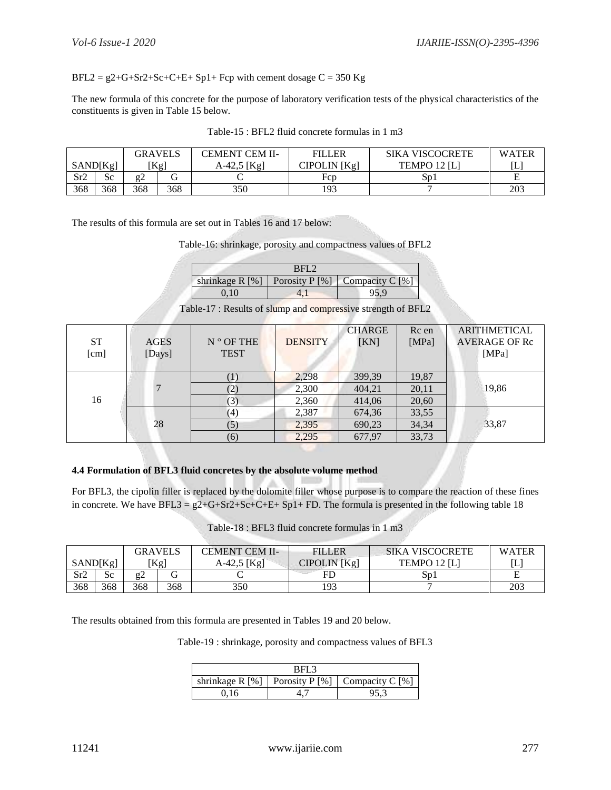# $BFL2 = g2+G+Sr2+Sc+C+E+Sp1+Fcp$  with cement dosage  $C = 350$  Kg

The new formula of this concrete for the purpose of laboratory verification tests of the physical characteristics of the constituents is given in Table 15 below.

| GRAVELS  |     | <b>CEMENT CEM II-</b> | <b>FILLER</b> | <b>SIKA VISCOCRETE</b> | <b>WATER</b> |              |     |
|----------|-----|-----------------------|---------------|------------------------|--------------|--------------|-----|
| SAND[Kg] |     |                       | $Kg$ ]        | A-42,5 [Kg]            | CIPOLIN [Kg] | TEMPO 12 [L] | ∣∟  |
| Sr2      | Sc  |                       |               |                        | Fcp          | Sp1          |     |
| 368      | 368 | 368                   | 368           | 350                    | 193          |              | 203 |

Table-15 : BFL2 fluid concrete formulas in 1 m3

The results of this formula are set out in Tables 16 and 17 below:

Table-16: shrinkage, porosity and compactness values of BFL2

|                   | RFL. |                                        |
|-------------------|------|----------------------------------------|
| shrinkage $R[\%]$ |      | $\vert$ Porosity P [%] Compacity C [%] |
|                   |      |                                        |

Table-17 : Results of slump and compressive strength of BFL2

| ${\cal S}{\cal T}$<br>[cm] | <b>AGES</b><br>[Days] | $N^{\circ}$ OF THE<br><b>TEST</b> | <b>DENSITY</b> | <b>CHARGE</b><br>[KN] | Rc en<br>[MPa] | <b>ARITHMETICAL</b><br><b>AVERAGE OF Rc</b><br>[MPa] |
|----------------------------|-----------------------|-----------------------------------|----------------|-----------------------|----------------|------------------------------------------------------|
|                            |                       |                                   | 2,298          | 399,39                | 19,87          |                                                      |
|                            |                       | (2)                               | 2,300          | 404,21                | 20,11          | 19,86                                                |
| 16                         |                       | (3)                               | 2,360          | 414,06                | 20,60          |                                                      |
|                            |                       | (4)                               | 2,387          | 674,36                | 33,55          |                                                      |
|                            | 28                    | (5)                               | 2,395          | 690,23                | 34,34          | 33,87                                                |
|                            |                       | (6)                               | 2,295          | 677,97                | 33,73          |                                                      |

## **4.4 Formulation of BFL3 fluid concretes by the absolute volume method**

For BFL3, the cipolin filler is replaced by the dolomite filler whose purpose is to compare the reaction of these fines in concrete. We have  $BFL3 = g2+G+Sr2+Sc+C+E+Sp1+FD$ . The formula is presented in the following table 18

Table-18 : BFL3 fluid concrete formulas in 1 m3

| <b>GRAVELS</b> |     | <b>CEMENT CEM II-</b> | <b>FILLER</b> | <b>SIKA VISCOCRETE</b> | <b>WATER</b> |              |     |
|----------------|-----|-----------------------|---------------|------------------------|--------------|--------------|-----|
| SAND[Kg]       |     |                       | [Kg]          | A-42,5 [Kg]            | CIPOLIN [Kg] | TEMPO 12 [L] | [L  |
| Sr2            | Sc  | σ                     |               |                        |              | Sp1          |     |
| 368            | 368 | 368                   | 368           | 350                    | 193          |              | 203 |

The results obtained from this formula are presented in Tables 19 and 20 below.

Table-19 : shrinkage, porosity and compactness values of BFL3

| BFL3 |  |                                                    |  |  |  |  |  |  |  |
|------|--|----------------------------------------------------|--|--|--|--|--|--|--|
|      |  | shrinkage R [%]   Porosity P [%]   Compacity C [%] |  |  |  |  |  |  |  |
|      |  |                                                    |  |  |  |  |  |  |  |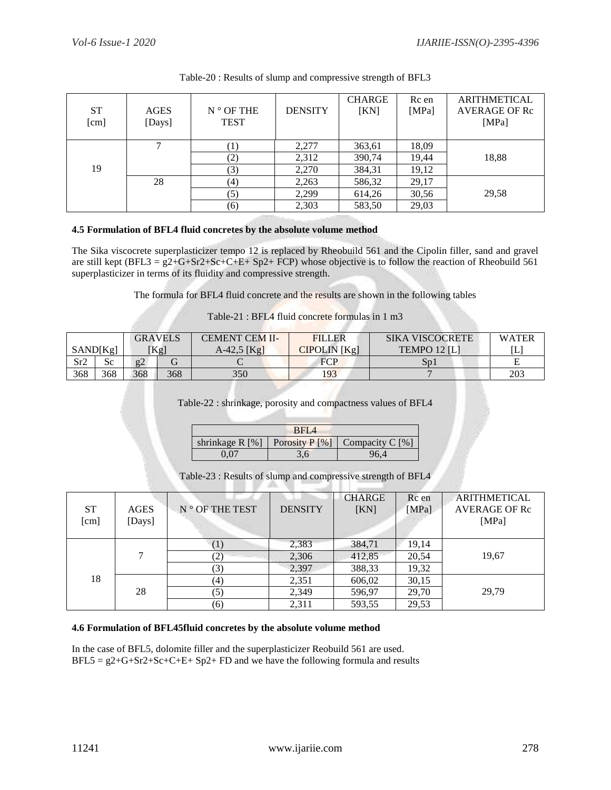| ST<br>[cm] | <b>AGES</b><br>[Days] | $N^{\circ}$ OF THE<br><b>TEST</b> | <b>DENSITY</b> | <b>CHARGE</b><br>[KN] | Rc en<br>[ $MPa$ ] | <b>ARITHMETICAL</b><br><b>AVERAGE OF Rc</b><br>[MPa] |
|------------|-----------------------|-----------------------------------|----------------|-----------------------|--------------------|------------------------------------------------------|
|            | ⇁                     | $_{\perp}$                        | 2,277          | 363,61                | 18,09              |                                                      |
|            |                       | (2)                               | 2,312          | 390,74                | 19,44              | 18,88                                                |
| 19         |                       | (3)                               | 2,270          | 384,31                | 19,12              |                                                      |
|            | 28                    | (4)                               | 2,263          | 586,32                | 29,17              |                                                      |
|            |                       | (5)                               | 2,299          | 614,26                | 30,56              | 29,58                                                |
|            |                       | (6)                               | 2,303          | 583,50                | 29,03              |                                                      |

# Table-20 : Results of slump and compressive strength of BFL3

# **4.5 Formulation of BFL4 fluid concretes by the absolute volume method**

The Sika viscocrete superplasticizer tempo 12 is replaced by Rheobuild 561 and the Cipolin filler, sand and gravel are still kept  $(BFL3 = g2+G+ST2+Sc+C+E+ Sp2+ FCP)$  whose objective is to follow the reaction of Rheobuild 561 superplasticizer in terms of its fluidity and compressive strength.

The formula for BFL4 fluid concrete and the results are shown in the following tables

Table-21 : BFL4 fluid concrete formulas in 1 m3

|          |     | <b>GRAVELS</b> |                  | CEMENT CEM II- | <b>FILLER</b> | <b>SIKA VISCOCRETE</b> | <b>WATER</b> |
|----------|-----|----------------|------------------|----------------|---------------|------------------------|--------------|
| SAND[Kg] |     |                | <sup>[</sup> Kg] | $A-42,5$ [Kg]  | CIPOLIN [Kg]  | <b>TEMPO 12 ILI</b>    | ſL           |
| Sr2      | Sc  | g2             |                  |                | <b>FCP</b>    | Sp1                    |              |
| 368      | 368 | 368            | 368              | 350            | 193           |                        | 203          |

## Table-22 : shrinkage, porosity and compactness values of BFL4

| BFI 4              |  |                                   |  |  |  |  |
|--------------------|--|-----------------------------------|--|--|--|--|
| shrinkage $R [\%]$ |  | Porosity $P [\%]$ Compacity C [%] |  |  |  |  |
| .1 OZ              |  | 96.4                              |  |  |  |  |

Table-23 : Results of slump and compressive strength of BFL4

| ST<br>[cm] | <b>AGES</b><br>[Days] | N ° OF THE TEST  | <b>DENSITY</b> | <b>CHARGE</b><br>[KN] | Rc en<br>[MPa] | <b>ARITHMETICAL</b><br><b>AVERAGE OF Rc</b><br>[MPa] |  |
|------------|-----------------------|------------------|----------------|-----------------------|----------------|------------------------------------------------------|--|
| 18         | ⇁                     |                  | 2,383          | 384,71                | 19,14          |                                                      |  |
|            |                       | 2)               | 2,306          | 412,85                | 20,54          | 19,67                                                |  |
|            |                       | $\mathcal{L}(3)$ | 2,397          | 388,33                | 19,32          |                                                      |  |
|            | 28                    | (4)              | 2,351          | 606,02                | 30,15          |                                                      |  |
|            |                       | (5)              | 2,349          | 596,97                | 29,70          | 29,79                                                |  |
|            |                       | (6)              | 2,311          | 593,55                | 29,53          |                                                      |  |

## **4.6 Formulation of BFL45fluid concretes by the absolute volume method**

In the case of BFL5, dolomite filler and the superplasticizer Reobuild 561 are used.  $BFL5 = g2+G+Sr2+Sc+C+E+ Sp2+ FD$  and we have the following formula and results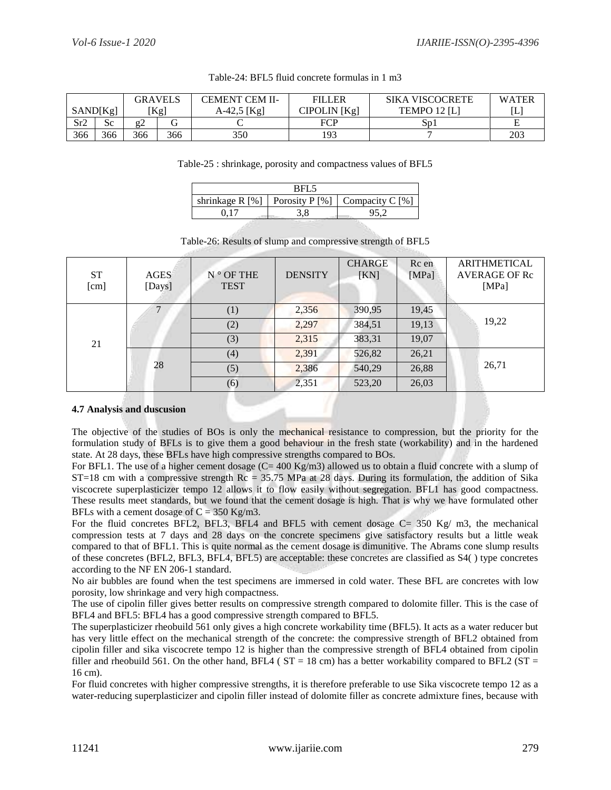| <b>GRAVELS</b> |          | <b>FILLER</b><br>CEMENT CEM II- |                 | <b>SIKA VISCOCRETE</b> | <b>WATER</b> |                |     |
|----------------|----------|---------------------------------|-----------------|------------------------|--------------|----------------|-----|
|                | SAND[Kg] |                                 | $[\mathrm{Kg}]$ | A-42,5 [Kg]            | CIPOLIN [Kg] | TEMPO 12 $[L]$ | L   |
| Sr2            | Sc       |                                 |                 |                        | FCP          | $S_{D}1$       |     |
| 366            | 366      | 366                             | 366             | 350                    | 193          |                | 203 |

## Table-24: BFL5 fluid concrete formulas in 1 m3

## Table-25 : shrinkage, porosity and compactness values of BFL5

| וׁ⊣ג              |  |                                     |  |  |  |  |
|-------------------|--|-------------------------------------|--|--|--|--|
| shrinkage $R[\%]$ |  | Porosity $P [\%]$   Compacity C [%] |  |  |  |  |
|                   |  |                                     |  |  |  |  |

# Table-26: Results of slump and compressive strength of BFL5

| <b>ST</b><br>[cm] | <b>AGES</b><br>[Days] | $N^{\circ}$ OF THE<br><b>TEST</b> | <b>DENSITY</b> | <b>CHARGE</b><br>[KN] | Rc en<br>[MPa] | <b>ARITHMETICAL</b><br><b>AVERAGE OF Rc</b><br>[MPa] |
|-------------------|-----------------------|-----------------------------------|----------------|-----------------------|----------------|------------------------------------------------------|
| 21                |                       | (1)                               | 2,356          | 390,95                | 19,45          |                                                      |
|                   |                       | (2)                               | 2,297          | 384,51                | 19,13          | 19,22                                                |
|                   |                       | (3)                               | 2,315          | 383,31                | 19,07          |                                                      |
|                   |                       | (4)                               | 2,391          | 526,82                | 26,21          |                                                      |
|                   | 28                    | (5)                               | 2,386          | 540,29                | 26,88          | 26,71                                                |
|                   |                       | (6)                               | 2,351          | 523,20                | 26,03          |                                                      |

# **4.7 Analysis and duscusion**

The objective of the studies of BOs is only the mechanical resistance to compression, but the priority for the formulation study of BFLs is to give them a good behaviour in the fresh state (workability) and in the hardened state. At 28 days, these BFLs have high compressive strengths compared to BOs.

For BFL1. The use of a higher cement dosage  $(C= 400 \text{ Kg/m3})$  allowed us to obtain a fluid concrete with a slump of  $ST=18$  cm with a compressive strength  $Rc = 35.75$  MPa at 28 days. During its formulation, the addition of Sika viscocrete superplasticizer tempo 12 allows it to flow easily without segregation. BFL1 has good compactness. These results meet standards, but we found that the cement dosage is high. That is why we have formulated other BFLs with a cement dosage of  $C = 350$  Kg/m3.

For the fluid concretes BFL2, BFL3, BFL4 and BFL5 with cement dosage C= 350 Kg/ m3, the mechanical compression tests at 7 days and 28 days on the concrete specimens give satisfactory results but a little weak compared to that of BFL1. This is quite normal as the cement dosage is dimunitive. The Abrams cone slump results of these concretes (BFL2, BFL3, BFL4, BFL5) are acceptable: these concretes are classified as S4( ) type concretes according to the NF EN 206-1 standard.

No air bubbles are found when the test specimens are immersed in cold water. These BFL are concretes with low porosity, low shrinkage and very high compactness.

The use of cipolin filler gives better results on compressive strength compared to dolomite filler. This is the case of BFL4 and BFL5: BFL4 has a good compressive strength compared to BFL5.

The superplasticizer rheobuild 561 only gives a high concrete workability time (BFL5). It acts as a water reducer but has very little effect on the mechanical strength of the concrete: the compressive strength of BFL2 obtained from cipolin filler and sika viscocrete tempo 12 is higher than the compressive strength of BFL4 obtained from cipolin filler and rheobuild 561. On the other hand, BFL4 ( $ST = 18$  cm) has a better workability compared to BFL2 ( $ST =$ 16 cm).

For fluid concretes with higher compressive strengths, it is therefore preferable to use Sika viscocrete tempo 12 as a water-reducing superplasticizer and cipolin filler instead of dolomite filler as concrete admixture fines, because with